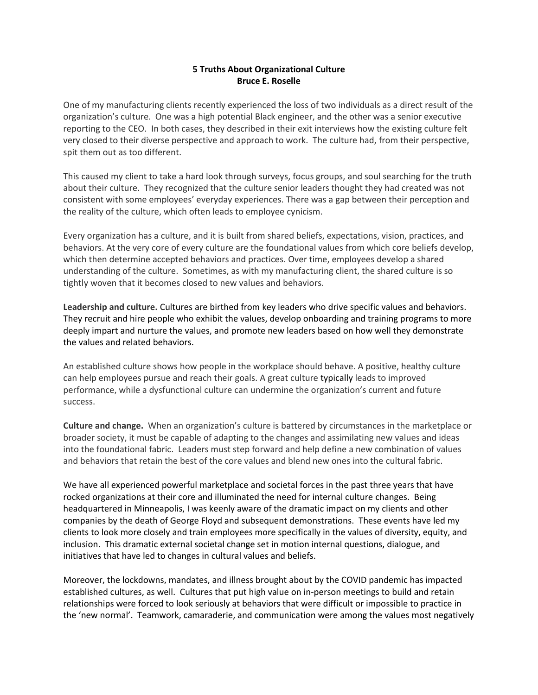## **5 Truths About Organizational Culture Bruce E. Roselle**

One of my manufacturing clients recently experienced the loss of two individuals as a direct result of the organization's culture. One was a high potential Black engineer, and the other was a senior executive reporting to the CEO. In both cases, they described in their exit interviews how the existing culture felt very closed to their diverse perspective and approach to work. The culture had, from their perspective, spit them out as too different.

This caused my client to take a hard look through surveys, focus groups, and soul searching for the truth about their culture. They recognized that the culture senior leaders thought they had created was not consistent with some employees' everyday experiences. There was a gap between their perception and the reality of the culture, which often leads to employee cynicism.

Every organization has a culture, and it is built from shared beliefs, expectations, vision, practices, and behaviors. At the very core of every culture are the foundational values from which core beliefs develop, which then determine accepted behaviors and practices. Over time, employees develop a shared understanding of the culture. Sometimes, as with my manufacturing client, the shared culture is so tightly woven that it becomes closed to new values and behaviors.

**Leadership and culture.** Cultures are birthed from key leaders who drive specific values and behaviors. They recruit and hire people who exhibit the values, develop onboarding and training programs to more deeply impart and nurture the values, and promote new leaders based on how well they demonstrate the values and related behaviors.

An established culture shows how people in the workplace should behave. A positive, healthy culture can help employees pursue and reach their goals. A great culture typically leads to improved performance, while a dysfunctional culture can undermine the organization's current and future success.

**Culture and change.** When an organization's culture is battered by circumstances in the marketplace or broader society, it must be capable of adapting to the changes and assimilating new values and ideas into the foundational fabric. Leaders must step forward and help define a new combination of values and behaviors that retain the best of the core values and blend new ones into the cultural fabric.

We have all experienced powerful marketplace and societal forces in the past three years that have rocked organizations at their core and illuminated the need for internal culture changes. Being headquartered in Minneapolis, I was keenly aware of the dramatic impact on my clients and other companies by the death of George Floyd and subsequent demonstrations. These events have led my clients to look more closely and train employees more specifically in the values of diversity, equity, and inclusion. This dramatic external societal change set in motion internal questions, dialogue, and initiatives that have led to changes in cultural values and beliefs.

Moreover, the lockdowns, mandates, and illness brought about by the COVID pandemic has impacted established cultures, as well. Cultures that put high value on in-person meetings to build and retain relationships were forced to look seriously at behaviors that were difficult or impossible to practice in the 'new normal'. Teamwork, camaraderie, and communication were among the values most negatively